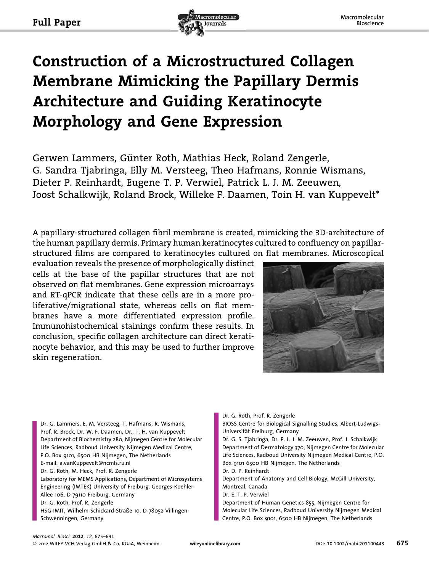

# Construction of a Microstructured Collagen Membrane Mimicking the Papillary Dermis Architecture and Guiding Keratinocyte Morphology and Gene Expression

Gerwen Lammers, Günter Roth, Mathias Heck, Roland Zengerle, G. Sandra Tjabringa, Elly M. Versteeg, Theo Hafmans, Ronnie Wismans, Dieter P. Reinhardt, Eugene T. P. Verwiel, Patrick L. J. M. Zeeuwen, Joost Schalkwijk, Roland Brock, Willeke F. Daamen, Toin H. van Kuppevelt\*

A papillary-structured collagen fibril membrane is created, mimicking the 3D-architecture of the human papillary dermis. Primary human keratinocytes cultured to confluency on papillarstructured films are compared to keratinocytes cultured on flat membranes. Microscopical

evaluation reveals the presence of morphologically distinct cells at the base of the papillar structures that are not observed on flat membranes. Gene expression microarrays and RT-qPCR indicate that these cells are in a more proliferative/migrational state, whereas cells on flat membranes have a more differentiated expression profile. Immunohistochemical stainings confirm these results. In conclusion, specific collagen architecture can direct keratinocyte behavior, and this may be used to further improve skin regeneration.



Dr. G. Lammers, E. M. Versteeg, T. Hafmans, R. Wismans, Prof. R. Brock, Dr. W. F. Daamen, Dr., T. H. van Kuppevelt Department of Biochemistry 280, Nijmegen Centre for Molecular Life Sciences, Radboud University Nijmegen Medical Centre, P.O. Box 9101, 6500 HB Nijmegen, The Netherlands E-mail: a.vanKuppevelt@ncmls.ru.nl Dr. G. Roth, M. Heck, Prof. R. Zengerle Laboratory for MEMS Applications, Department of Microsystems Engineering (IMTEK) University of Freiburg, Georges-Koehler-Allee 106, D-79110 Freiburg, Germany Dr. G. Roth, Prof. R. Zengerle HSG-IMIT, Wilhelm-Schickard-Straße 10, D-78052 Villingen-Schwenningen, Germany

Dr. G. Roth, Prof. R. Zengerle

BIOSS Centre for Biological Signalling Studies, Albert-Ludwigs-Universität Freiburg, Germany

Dr. G. S. Tjabringa, Dr. P. L. J. M. Zeeuwen, Prof. J. Schalkwijk Department of Dermatology 370, Nijmegen Centre for Molecular Life Sciences, Radboud University Nijmegen Medical Centre, P.O. Box 9101 6500 HB Nijmegen, The Netherlands

Dr. D. P. Reinhardt

Department of Anatomy and Cell Biology, McGill University, Montreal, Canada

Dr. E. T. P. Verwiel

Department of Human Genetics 855, Nijmegen Centre for Molecular Life Sciences, Radboud University Nijmegen Medical Centre, P.O. Box 9101, 6500 HB Nijmegen, The Netherlands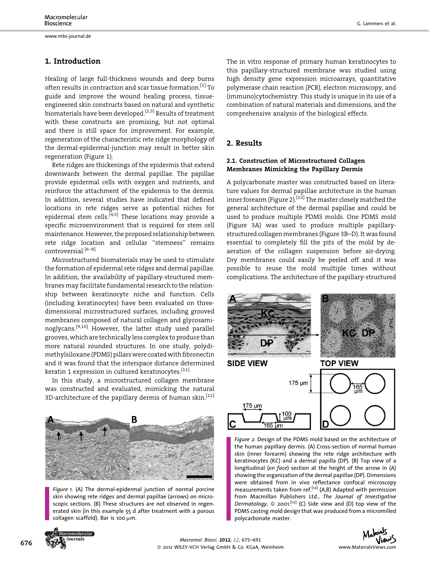# 1. Introduction

Healing of large full-thickness wounds and deep burns often results in contraction and scar tissue formation.<sup>[1]</sup> To guide and improve the wound healing process, tissueengineered skin constructs based on natural and synthetic biomaterials have been developed.[2,3] Results of treatment with these constructs are promising, but not optimal and there is still space for improvement. For example, regeneration of the characteristic rete ridge morphology of the dermal-epidermal-junction may result in better skin regeneration (Figure 1).

Rete ridges are thickenings of the epidermis that extend downwards between the dermal papillae. The papillae provide epidermal cells with oxygen and nutrients, and reinforce the attachment of the epidermis to the dermis. In addition, several studies have indicated that defined locations in rete ridges serve as potential niches for epidermal stem cells.<sup>[4,5]</sup> These locations may provide a specific microenvironment that is required for stem cell maintenance. However, the proposed relationship between rete ridge location and cellular ''stemness'' remains controversial.[6–8]

Microstructured biomaterials may be used to stimulate the formation of epidermal rete ridges and dermal papillae. In addition, the availability of papillary-structured membranes may facilitate fundamental research to the relationship between keratinocyte niche and function. Cells (including keratinocytes) have been evaluated on threedimensional microstructured surfaces, including grooved membranes composed of natural collagen and glycosaminoglycans.[9,10] However, the latter study used parallel grooves, which are technicallyless complex to produce than more natural rounded structures. In one study, polydimethylsiloxane (PDMS) pillarswere coatedwith fibronectin and it was found that the interspace distance determined keratin 1 expression in cultured keratinocytes.<sup>[11]</sup>

In this study, a microstructured collagen membrane was constructed and evaluated, mimicking the natural 3D-architecture of the papillary dermis of human skin.<sup>[12]</sup>



Figure 1. (A) The dermal-epidermal junction of normal porcine skin showing rete ridges and dermal papillae (arrows) on microscopic sections. (B) These structures are not observed in regenerated skin (in this example 55 d after treatment with a porous collagen scaffold). Bar is 100  $\mu$ m.

The in vitro response of primary human keratinocytes to this papillary-structured membrane was studied using high density gene expression microarrays, quantitative polymerase chain reaction (PCR), electron microscopy, and (immuno)cytochemistry. This study is unique in its use of a combination of natural materials and dimensions, and the comprehensive analysis of the biological effects.

# 2. Results

# 2.1. Construction of Microstructured Collagen Membranes Mimicking the Papillary Dermis

A polycarbonate master was constructed based on literature values for dermal papillae architecture in the human inner forearm (Figure 2).<sup>[12]</sup> The master closely matched the general architecture of the dermal papillae and could be used to produce multiple PDMS molds. One PDMS mold (Figure 3A) was used to produce multiple papillarystructured collagen membranes (Figure 3B–D). It was found essential to completely fill the pits of the mold by deaeration of the collagen suspension before air-drying. Dry membranes could easily be peeled off and it was possible to reuse the mold multiple times without complications. The architecture of the papillary-structured



Figure 2. Design of the PDMS mold based on the architecture of the human papillary dermis. (A) Cross-section of normal human skin (inner forearm) showing the rete ridge architecture with keratinocytes (KC) and a dermal papilla (DP). (B) Top view of a longitudinal (en face) section at the height of the arrow in (A) showing the organization of the dermal papillae (DP). Dimensions were obtained from in vivo reflectance confocal microscopy measurements taken from ref.<sup>[12]</sup> (A,B) Adapted with permission from Macmillan Publishers Ltd., The Journal of Investigative Dermatology,  $\circledcirc$  2001.<sup>[12]</sup> (C) Side view and (D) top view of the PDMS casting mold design that was produced from a micromilled polycarbonate master.



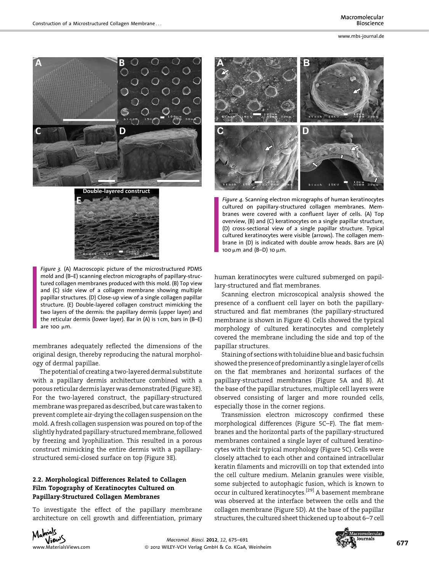



Figure 3. (A) Macroscopic picture of the microstructured PDMS mold and (B–E) scanning electron micrographs of papillary-structured collagen membranes produced with this mold. (B) Top view and (C) side view of a collagen membrane showing multiple papillar structures. (D) Close-up view of a single collagen papillar structure. (E) Double-layered collagen construct mimicking the two layers of the dermis: the papillary dermis (upper layer) and the reticular dermis (lower layer). Bar in (A) is 1 cm, bars in (B–E) are 100 u.m.

membranes adequately reflected the dimensions of the original design, thereby reproducing the natural morphology of dermal papillae.

The potential of creating a two-layered dermal substitute with a papillary dermis architecture combined with a porous reticular dermis layer was demonstrated (Figure 3E). For the two-layered construct, the papillary-structured membranewas prepared as described, but carewas taken to prevent complete air-drying the collagen suspension on the mold. A fresh collagen suspension was poured on top of the slightly hydrated papillary-structured membrane, followed by freezing and lyophilization. This resulted in a porous construct mimicking the entire dermis with a papillarystructured semi-closed surface on top (Figure 3E).

# 2.2. Morphological Differences Related to Collagen Film Topography of Keratinocytes Cultured on Papillary-Structured Collagen Membranes

To investigate the effect of the papillary membrane architecture on cell growth and differentiation, primary



Figure 4. Scanning electron micrographs of human keratinocytes cultured on papillary-structured collagen membranes. Membranes were covered with a confluent layer of cells. (A) Top overview, (B) and (C) keratinocytes on a single papillar structure, (D) cross-sectional view of a single papillar structure. Typical cultured keratinocytes were visible (arrows). The collagen membrane in (D) is indicated with double arrow heads. Bars are (A) 100  $\mu$ m and (B–D) 10  $\mu$ m.

human keratinocytes were cultured submerged on papillary-structured and flat membranes.

Scanning electron microscopical analysis showed the presence of a confluent cell layer on both the papillarystructured and flat membranes (the papillary-structured membrane is shown in Figure 4). Cells showed the typical morphology of cultured keratinocytes and completely covered the membrane including the side and top of the papillar structures.

Staining of sections with toluidine blue and basic fuchsin showed the presence of predominantly a singlelayer of cells on the flat membranes and horizontal surfaces of the papillary-structured membranes (Figure 5A and B). At the base of the papillar structures, multiple cell layers were observed consisting of larger and more rounded cells, especially those in the corner regions.

Transmission electron microscopy confirmed these morphological differences (Figure 5C–F). The flat membranes and the horizontal parts of the papillary-structured membranes contained a single layer of cultured keratinocytes with their typical morphology (Figure 5C). Cells were closely attached to each other and contained intracellular keratin filaments and microvilli on top that extended into the cell culture medium. Melanin granules were visible, some subjected to autophagic fusion, which is known to occur in cultured keratinocytes.[29] A basement membrane was observed at the interface between the cells and the collagen membrane (Figure 5D). At the base of the papillar structures, the cultured sheet thickened up to about 6–7 cell



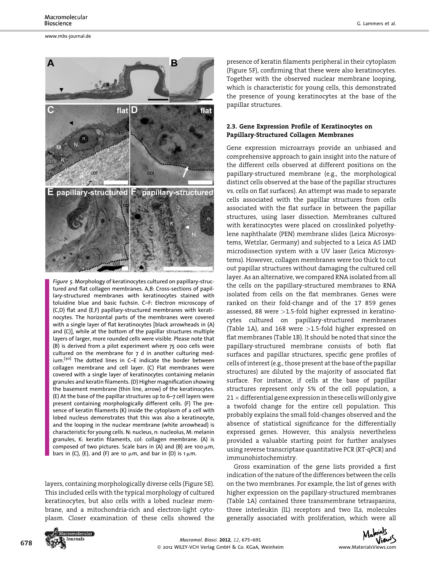

Figure 5. Morphology of keratinocytes cultured on papillary-structured and flat collagen membranes. A,B: Cross-sections of papillary-structured membranes with keratinocytes stained with toluidine blue and basic fuchsin. C–F: Electron microscopy of (C,D) flat and (E,F) papillary-structured membranes with keratinocytes. The horizontal parts of the membranes were covered with a single layer of flat keratinocytes [black arrowheads in (A) and (C)], while at the bottom of the papillar structures multiple layers of larger, more rounded cells were visible. Please note that (B) is derived from a pilot experiment where 75 000 cells were cultured on the membrane for 7 d in another culturing medium.<sup>[30]</sup> The dotted lines in C–E indicate the border between collagen membrane and cell layer. (C) Flat membranes were covered with a single layer of keratinocytes containing melanin granules and keratin filaments. (D) Higher magnification showing the basement membrane (thin line, arrow) of the keratinocytes. (E) At the base of the papillar structures up to 6–7 cell layers were present containing morphologically different cells. (F) The presence of keratin filaments (K) inside the cytoplasm of a cell with lobed nucleus demonstrates that this was also a keratinocyte, and the looping in the nuclear membrane (white arrowhead) is characteristic for young cells. N: nucleus, n: nucleolus, M: melanin granules, K: keratin filaments, col: collagen membrane. (A) is composed of two pictures. Scale bars in (A) and (B) are 100  $\mu$ m, bars in (C), (E), and (F) are 10  $\mu$ m, and bar in (D) is 1 $\mu$ m.

layers, containing morphologically diverse cells (Figure 5E). This included cells with the typical morphology of cultured keratinocytes, but also cells with a lobed nuclear membrane, and a mitochondria-rich and electron-light cytoplasm. Closer examination of these cells showed the presence of keratin filaments peripheral in their cytoplasm (Figure 5F), confirming that these were also keratinocytes. Together with the observed nuclear membrane looping, which is characteristic for young cells, this demonstrated the presence of young keratinocytes at the base of the papillar structures.

# 2.3. Gene Expression Profile of Keratinocytes on Papillary-Structured Collagen Membranes

Gene expression microarrays provide an unbiased and comprehensive approach to gain insight into the nature of the different cells observed at different positions on the papillary-structured membrane (e.g., the morphological distinct cells observed at the base of the papillar structures vs. cells on flat surfaces). An attempt was made to separate cells associated with the papillar structures from cells associated with the flat surface in between the papillar structures, using laser dissection. Membranes cultured with keratinocytes were placed on crosslinked polyethylene naphthalate (PEN) membrane slides (Leica Microsystems, Wetzlar, Germany) and subjected to a Leica AS LMD microdissection system with a UV laser (Leica Microsystems). However, collagen membranes were too thick to cut out papillar structures without damaging the cultured cell layer. As an alternative, we compared RNA isolated from all the cells on the papillary-structured membranes to RNA isolated from cells on the flat membranes. Genes were ranked on their fold-change and of the 17 859 genes assessed, 88 were >1.5-fold higher expressed in keratinocytes cultured on papillary-structured membranes (Table 1A), and 168 were >1.5-fold higher expressed on flat membranes (Table 1B). It should be noted that since the papillary-structured membrane consists of both flat surfaces and papillar structures, specific gene profiles of cells of interest (e.g., those present at the base of the papillar structures) are diluted by the majority of associated flat surface. For instance, if cells at the base of papillar structures represent only 5% of the cell population, a  $21 \times$  differential gene expression in these cells will only give a twofold change for the entire cell population. This probably explains the small fold-changes observed and the absence of statistical significance for the differentially expressed genes. However, this analysis nevertheless provided a valuable starting point for further analyses using reverse transcriptase quantitative PCR (RT-qPCR) and immunohistochemistry.

Gross examination of the gene lists provided a first indication of the nature of the differences between the cells on the two membranes. For example, the list of genes with higher expression on the papillary-structured membranes (Table 1A) contained three transmembrane tetraspanins, three interleukin (IL) receptors and two ILs, molecules generally associated with proliferation, which were all



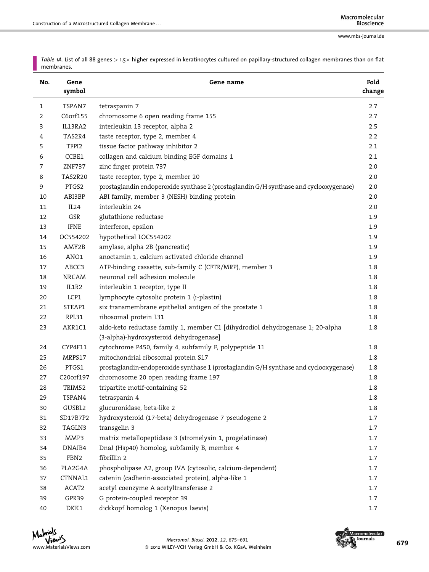| No. | Gene<br>symbol                                                                           | Gene name                                                                             | Fold<br>change |  |  |  |  |
|-----|------------------------------------------------------------------------------------------|---------------------------------------------------------------------------------------|----------------|--|--|--|--|
| 1   | TSPAN7                                                                                   | tetraspanin 7                                                                         | 2.7            |  |  |  |  |
| 2   | C6orf155                                                                                 | chromosome 6 open reading frame 155                                                   | 2.7            |  |  |  |  |
| 3   | IL13RA2                                                                                  | interleukin 13 receptor, alpha 2                                                      | 2.5            |  |  |  |  |
| 4   | TAS2R4                                                                                   | taste receptor, type 2, member 4                                                      |                |  |  |  |  |
| 5   | TFPI2                                                                                    | tissue factor pathway inhibitor 2                                                     |                |  |  |  |  |
| 6   | CCBE1                                                                                    | collagen and calcium binding EGF domains 1                                            | 2.1            |  |  |  |  |
| 7   | ZNF737                                                                                   | zinc finger protein 737                                                               | 2.0            |  |  |  |  |
| 8   | <b>TAS2R20</b>                                                                           | taste receptor, type 2, member 20                                                     | 2.0            |  |  |  |  |
| 9   | PTGS2                                                                                    | prostaglandin endoperoxide synthase 2 (prostaglandin G/H synthase and cyclooxygenase) | 2.0            |  |  |  |  |
| 10  | ABI3BP                                                                                   | ABI family, member 3 (NESH) binding protein                                           | 2.0            |  |  |  |  |
| 11  | IL24                                                                                     | interleukin 24                                                                        | 2.0            |  |  |  |  |
| 12  | GSR                                                                                      | glutathione reductase                                                                 | 1.9            |  |  |  |  |
| 13  | IFNE                                                                                     | interferon, epsilon                                                                   | 1.9            |  |  |  |  |
| 14  | OC554202                                                                                 | hypothetical LOC554202                                                                | 1.9            |  |  |  |  |
| 15  | AMY2B                                                                                    | amylase, alpha 2B (pancreatic)                                                        | 1.9            |  |  |  |  |
| 16  | ANO1                                                                                     | anoctamin 1, calcium activated chloride channel                                       | 1.9            |  |  |  |  |
| 17  | ABCC3                                                                                    | ATP-binding cassette, sub-family C (CFTR/MRP), member 3                               | 1.8            |  |  |  |  |
| 18  | <b>NRCAM</b>                                                                             | neuronal cell adhesion molecule                                                       | 1.8            |  |  |  |  |
| 19  | IL1R2                                                                                    | interleukin 1 receptor, type II                                                       |                |  |  |  |  |
| 20  | LCP1                                                                                     | lymphocyte cytosolic protein 1 (L-plastin)                                            |                |  |  |  |  |
| 21  | STEAP1                                                                                   | six transmembrane epithelial antigen of the prostate 1                                |                |  |  |  |  |
| 22  | RPL31                                                                                    | ribosomal protein L31                                                                 |                |  |  |  |  |
| 23  | aldo-keto reductase family 1, member C1 [dihydrodiol dehydrogenase 1; 20-alpha<br>AKR1C1 |                                                                                       | 1.8            |  |  |  |  |
|     |                                                                                          | (3-alpha)-hydroxysteroid dehydrogenase]                                               |                |  |  |  |  |
| 24  | CYP4F11                                                                                  | cytochrome P450, family 4, subfamily F, polypeptide 11                                | 1.8            |  |  |  |  |
| 25  | MRPS17                                                                                   | mitochondrial ribosomal protein S17                                                   | 1.8            |  |  |  |  |
| 26  | PTGS1                                                                                    | prostaglandin-endoperoxide synthase 1 (prostaglandin G/H synthase and cyclooxygenase) | 1.8            |  |  |  |  |
| 27  | C20orf197                                                                                | chromosome 20 open reading frame 197                                                  | 1.8            |  |  |  |  |
| 28  | TRIM52                                                                                   | tripartite motif-containing 52                                                        | 1.8            |  |  |  |  |
| 29  | TSPAN4                                                                                   | tetraspanin 4                                                                         | 1.8            |  |  |  |  |
| 30  | GUSBL2                                                                                   | glucuronidase, beta-like 2                                                            | 1.8            |  |  |  |  |
| 31  | SD17B7P2                                                                                 | hydroxysteroid (17-beta) dehydrogenase 7 pseudogene 2                                 | 1.7            |  |  |  |  |
| 32  | TAGLN3                                                                                   | transgelin 3                                                                          | 1.7            |  |  |  |  |
| 33  | MMP3                                                                                     | matrix metallopeptidase 3 (stromelysin 1, progelatinase)                              | 1.7            |  |  |  |  |
| 34  | DNAJB4                                                                                   | DnaJ (Hsp40) homolog, subfamily B, member 4                                           | 1.7            |  |  |  |  |
| 35  | FBN2                                                                                     | fibrillin 2                                                                           | 1.7            |  |  |  |  |
| 36  | PLA2G4A                                                                                  | phospholipase A2, group IVA (cytosolic, calcium-dependent)                            | 1.7            |  |  |  |  |
| 37  | CTNNAL1                                                                                  | catenin (cadherin-associated protein), alpha-like 1                                   | 1.7            |  |  |  |  |
| 38  | ACAT2                                                                                    | acetyl coenzyme A acetyltransferase 2                                                 | 1.7            |  |  |  |  |
| 39  | GPR39                                                                                    | G protein-coupled receptor 39                                                         | 1.7            |  |  |  |  |
| 40  | DKK1                                                                                     | dickkopf homolog 1 (Xenopus laevis)                                                   | $1.7\,$        |  |  |  |  |

Table 1A. List of all 88 genes  $>$  1.5 $\times$  higher expressed in keratinocytes cultured on papillary-structured collagen membranes than on flat membranes.



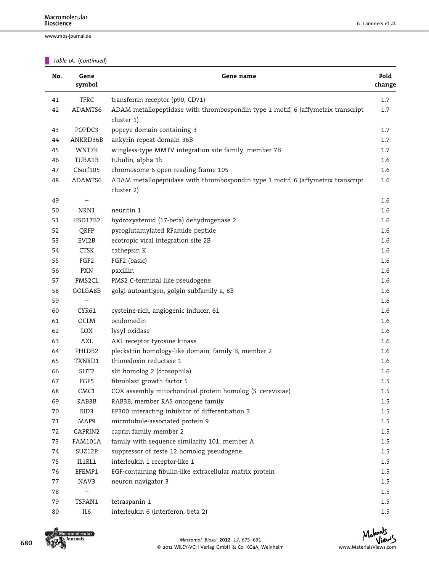Table 1A. (Continued)

|                       | סטווווטטן נטוווויי |                                                                                                                                                                                                                                 |                |  |
|-----------------------|--------------------|---------------------------------------------------------------------------------------------------------------------------------------------------------------------------------------------------------------------------------|----------------|--|
| Table 1A. (Continued) |                    |                                                                                                                                                                                                                                 |                |  |
| No.                   | Gene<br>symbol     | Gene name                                                                                                                                                                                                                       | Fold<br>change |  |
| 41                    | TFRC               | transferrin receptor (p90, CD71)                                                                                                                                                                                                | 1.7            |  |
| 42                    | ADAMTS6            | ADAM metallopeptidase with thrombospondin type 1 motif, 6 (affymetrix transcript<br>cluster 1)                                                                                                                                  | 1.7            |  |
| 43                    | POPDC3             | popeye domain containing 3                                                                                                                                                                                                      | 1.7            |  |
|                       |                    | $\sim$ . The contract of the contract of the contract of the contract of the contract of the contract of the contract of the contract of the contract of the contract of the contract of the contract of the contract of the co |                |  |

|                   | cluster 1)                                                                       |                                                                                                                                                                                                                                                                                                                                                                            |  |  |  |  |
|-------------------|----------------------------------------------------------------------------------|----------------------------------------------------------------------------------------------------------------------------------------------------------------------------------------------------------------------------------------------------------------------------------------------------------------------------------------------------------------------------|--|--|--|--|
| POPDC3            | popeye domain containing 3                                                       | 1.7                                                                                                                                                                                                                                                                                                                                                                        |  |  |  |  |
| ANKRD36B          | ankyrin repeat domain 36B                                                        | 1.7                                                                                                                                                                                                                                                                                                                                                                        |  |  |  |  |
| WNT7B             | 1.7                                                                              |                                                                                                                                                                                                                                                                                                                                                                            |  |  |  |  |
| TUBA1B            | 1.6                                                                              |                                                                                                                                                                                                                                                                                                                                                                            |  |  |  |  |
| C6orf105          | chromosome 6 open reading frame 105                                              | $1.6\,$                                                                                                                                                                                                                                                                                                                                                                    |  |  |  |  |
| ADAMTS6           | ADAM metallopeptidase with thrombospondin type 1 motif, 6 (affymetrix transcript | 1.6                                                                                                                                                                                                                                                                                                                                                                        |  |  |  |  |
|                   | cluster 2)                                                                       |                                                                                                                                                                                                                                                                                                                                                                            |  |  |  |  |
|                   |                                                                                  | $1.6\,$                                                                                                                                                                                                                                                                                                                                                                    |  |  |  |  |
| NRN1              | neuritin 1                                                                       | $1.6\,$                                                                                                                                                                                                                                                                                                                                                                    |  |  |  |  |
| HSD17B2           | hydroxysteroid (17-beta) dehydrogenase 2                                         | 1.6                                                                                                                                                                                                                                                                                                                                                                        |  |  |  |  |
| QRFP              | pyroglutamylated RFamide peptide                                                 | 1.6                                                                                                                                                                                                                                                                                                                                                                        |  |  |  |  |
| EVI2B             | ecotropic viral integration site 2B                                              | 1.6                                                                                                                                                                                                                                                                                                                                                                        |  |  |  |  |
| CTSK              | cathepsin K                                                                      | 1.6                                                                                                                                                                                                                                                                                                                                                                        |  |  |  |  |
| FGF <sub>2</sub>  | FGF2 (basic)                                                                     | $1.6\,$                                                                                                                                                                                                                                                                                                                                                                    |  |  |  |  |
| PXN               | paxillin                                                                         | 1.6                                                                                                                                                                                                                                                                                                                                                                        |  |  |  |  |
| PMS2CL            | PMS2 C-terminal like pseudogene                                                  | 1.6                                                                                                                                                                                                                                                                                                                                                                        |  |  |  |  |
| GOLGA8B           | golgi autoantigen, golgin subfamily a, 8B                                        | 1.6                                                                                                                                                                                                                                                                                                                                                                        |  |  |  |  |
|                   |                                                                                  | 1.6                                                                                                                                                                                                                                                                                                                                                                        |  |  |  |  |
| CYR61             | cysteine-rich, angiogenic inducer, 61                                            | 1.6                                                                                                                                                                                                                                                                                                                                                                        |  |  |  |  |
| OCLM              | oculomedin                                                                       | $1.6\,$                                                                                                                                                                                                                                                                                                                                                                    |  |  |  |  |
| $_{\rm LOX}$      | lysyl oxidase                                                                    | 1.6                                                                                                                                                                                                                                                                                                                                                                        |  |  |  |  |
| AXL               | AXL receptor tyrosine kinase                                                     | 1.6                                                                                                                                                                                                                                                                                                                                                                        |  |  |  |  |
| PHLDB2            | pleckstrin homology-like domain, family B, member 2                              | 1.6                                                                                                                                                                                                                                                                                                                                                                        |  |  |  |  |
| TXNRD1            |                                                                                  | 1.6                                                                                                                                                                                                                                                                                                                                                                        |  |  |  |  |
| SLIT <sub>2</sub> | slit homolog 2 (drosophila)                                                      | 1.6                                                                                                                                                                                                                                                                                                                                                                        |  |  |  |  |
| FGF5              | fibroblast growth factor 5                                                       | 1.5                                                                                                                                                                                                                                                                                                                                                                        |  |  |  |  |
| CMC1              | COX assembly mitochondrial protein homolog (S. cerevisiae)                       | 1.5                                                                                                                                                                                                                                                                                                                                                                        |  |  |  |  |
| RAB3B             | RAB3B, member RAS oncogene family                                                | 1.5                                                                                                                                                                                                                                                                                                                                                                        |  |  |  |  |
| EID3              | EP300 interacting inhibitor of differentiation 3                                 | 1.5                                                                                                                                                                                                                                                                                                                                                                        |  |  |  |  |
| MAP9              |                                                                                  | 1.5                                                                                                                                                                                                                                                                                                                                                                        |  |  |  |  |
| CAPRIN2           | caprin family member 2                                                           | 1.5                                                                                                                                                                                                                                                                                                                                                                        |  |  |  |  |
| FAM101A           |                                                                                  | $1.5\,$                                                                                                                                                                                                                                                                                                                                                                    |  |  |  |  |
| SUZ12P            |                                                                                  | 1.5                                                                                                                                                                                                                                                                                                                                                                        |  |  |  |  |
|                   |                                                                                  | 1.5                                                                                                                                                                                                                                                                                                                                                                        |  |  |  |  |
| EFEMP1            |                                                                                  | 1.5                                                                                                                                                                                                                                                                                                                                                                        |  |  |  |  |
| NAV3              | neuron navigator 3                                                               | 1.5                                                                                                                                                                                                                                                                                                                                                                        |  |  |  |  |
| -                 |                                                                                  | 1.5                                                                                                                                                                                                                                                                                                                                                                        |  |  |  |  |
| TSPAN1            | tetraspanin 1                                                                    | 1.5                                                                                                                                                                                                                                                                                                                                                                        |  |  |  |  |
| IL6               |                                                                                  | 1.5                                                                                                                                                                                                                                                                                                                                                                        |  |  |  |  |
|                   | IL1RL1                                                                           | wingless-type MMTV integration site family, member 7B<br>tubulin, alpha 1b<br>thioredoxin reductase 1<br>microtubule-associated protein 9<br>family with sequence similarity 101, member A<br>suppressor of zeste 12 homolog pseudogene<br>interleukin 1 receptor-like 1<br>EGF-containing fibulin-like extracellular matrix protein<br>interleukin 6 (interferon, beta 2) |  |  |  |  |

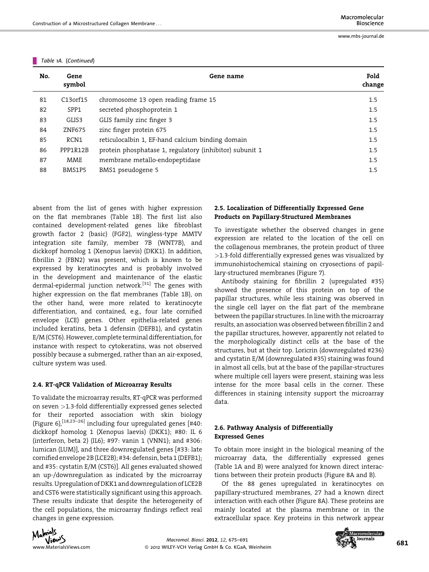Г

| No. | Gene<br>symbol | Gene name                                               | Fold<br>change |
|-----|----------------|---------------------------------------------------------|----------------|
| 81  | C13orf15       | chromosome 13 open reading frame 15                     | 1.5            |
| 82  | SPP1           | secreted phosphoprotein 1                               | 1.5            |
| 83  | GLIS3          | GLIS family zinc finger 3                               | 1.5            |
| 84  | ZNF675         | zinc finger protein 675                                 | 1.5            |
| 85  | RCN1           | reticulocalbin 1, EF-hand calcium binding domain        | 1.5            |
| 86  | PPP1R12B       | protein phosphatase 1, regulatory (inhibitor) subunit 1 | 1.5            |
| 87  | MME            | membrane metallo-endopeptidase                          | 1.5            |
| 88  | BMS1P5         | BMS1 pseudogene 5                                       | 1.5            |
|     |                |                                                         |                |

absent from the list of genes with higher expression on the flat membranes (Table 1B). The first list also contained development-related genes like fibroblast growth factor 2 (basic) (FGF2), wingless-type MMTV integration site family, member 7B (WNT7B), and dickkopf homolog 1 (Xenopus laevis) (DKK1). In addition, fibrillin 2 (FBN2) was present, which is known to be expressed by keratinocytes and is probably involved in the development and maintenance of the elastic dermal-epidermal junction network.<sup>[31]</sup> The genes with higher expression on the flat membranes (Table 1B), on the other hand, were more related to keratinocyte differentiation, and contained, e.g., four late cornified envelope (LCE) genes. Other epithelia-related genes included keratins, beta 1 defensin (DEFB1), and cystatin E/M (CST6). However, complete terminal differentiation, for instance with respect to cytokeratins, was not observed possibly because a submerged, rather than an air-exposed, culture system was used.

## 2.4. RT-qPCR Validation of Microarray Results

To validate the microarray results, RT-qPCR was performed on seven >1.3-fold differentially expressed genes selected for their reported association with skin biology (Figure 6),  $^{[18,23-26]}$  including four upregulated genes [#40: dickkopf homolog 1 (Xenopus laevis) (DKK1); #80: IL 6 (interferon, beta 2) (IL6); #97: vanin 1 (VNN1); and #306: lumican (LUM)], and three downregulated genes [#33: late cornified envelope 2B (LCE2B); #34: defensin, beta 1 (DEFB1); and #35: cystatin E/M (CST6)]. All genes evaluated showed an up-/downregulation as indicated by the microarray results. Upregulation of DKK1 and downregulation of LCE2B and CST6 were statistically significant using this approach. These results indicate that despite the heterogeneity of the cell populations, the microarray findings reflect real changes in gene expression.

## 2.5. Localization of Differentially Expressed Gene Products on Papillary-Structured Membranes

To investigate whether the observed changes in gene expression are related to the location of the cell on the collagenous membranes, the protein product of three >1.3-fold differentially expressed genes was visualized by immunohistochemical staining on cryosections of papillary-structured membranes (Figure 7).

Antibody staining for fibrillin 2 (upregulated #35) showed the presence of this protein on top of the papillar structures, while less staining was observed in the single cell layer on the flat part of the membrane between the papillar structures. In line with the microarray results, an association was observed between fibrillin 2 and the papillar structures, however, apparently not related to the morphologically distinct cells at the base of the structures, but at their top. Loricrin (downregulated #236) and cystatin E/M (downregulated #35) staining was found in almost all cells, but at the base of the papillar-structures where multiple cell layers were present, staining was less intense for the more basal cells in the corner. These differences in staining intensity support the microarray data.

# 2.6. Pathway Analysis of Differentially Expressed Genes

To obtain more insight in the biological meaning of the microarray data, the differentially expressed genes (Table 1A and B) were analyzed for known direct interactions between their protein products (Figure 8A and B).

Of the 88 genes upregulated in keratinocytes on papillary-structured membranes, 27 had a known direct interaction with each other (Figure 8A). These proteins are mainly located at the plasma membrane or in the extracellular space. Key proteins in this network appear



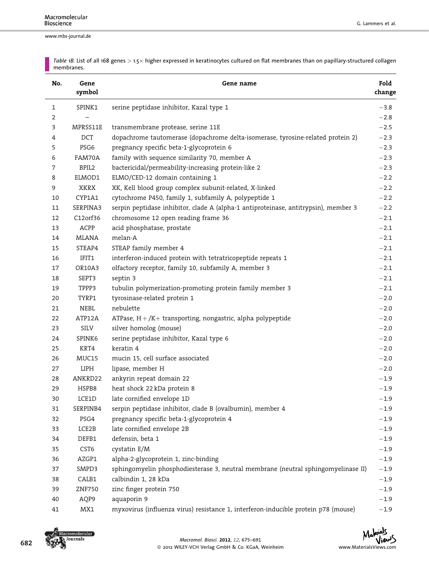Table 1B. List of all 168 genes  $>$  1.5 $\times$  higher expressed in keratinocytes cultured on flat membranes than on papillary-structured collagen membranes.

| No. | Gene<br>symbol   | Gene name                                                                           |        |
|-----|------------------|-------------------------------------------------------------------------------------|--------|
| 1   | SPINK1           | serine peptidase inhibitor, Kazal type 1                                            | $-3.8$ |
| 2   |                  |                                                                                     | $-2.8$ |
| 3   | MPRSS11E         | transmembrane protease, serine 11E                                                  | $-2.5$ |
| 4   | DCT              | dopachrome tautomerase (dopachrome delta-isomerase, tyrosine-related protein 2)     | $-2.3$ |
| 5   | PSG6             | pregnancy specific beta-1-glycoprotein 6                                            | $-2.3$ |
| 6   | FAM70A           | family with sequence similarity 70, member A                                        | $-2.3$ |
| 7   | BPIL2            | bactericidal/permeability-increasing protein-like 2                                 | $-2.3$ |
| 8   | ELMOD1           | ELMO/CED-12 domain containing 1                                                     | $-2.2$ |
| 9   | XKRX             | XK, Kell blood group complex subunit-related, X-linked                              | $-2.2$ |
| 10  | CYP1A1           | cytochrome P450, family 1, subfamily A, polypeptide 1                               | $-2.2$ |
| 11  | SERPINA3         | serpin peptidase inhibitor, clade A (alpha-1 antiproteinase, antitrypsin), member 3 | $-2.2$ |
| 12  | C12orf36         | chromosome 12 open reading frame 36                                                 | $-2.1$ |
| 13  | ACPP             | acid phosphatase, prostate                                                          | $-2.1$ |
| 14  | MLANA            | melan-A                                                                             | $-2.1$ |
| 15  | STEAP4           | STEAP family member 4                                                               | $-2.1$ |
| 16  | IFIT1            | interferon-induced protein with tetratricopeptide repeats 1                         | $-2.1$ |
| 17  | OR10A3           | olfactory receptor, family 10, subfamily A, member 3                                | $-2.1$ |
| 18  | SEPT3            | septin 3                                                                            | $-2.1$ |
| 19  | TPPP3            | tubulin polymerization-promoting protein family member 3                            | $-2.1$ |
| 20  | TYRP1            | tyrosinase-related protein 1                                                        | $-2.0$ |
| 21  | NEBL             | nebulette                                                                           | $-2.0$ |
| 22  | ATP12A           | ATPase, $H + / K +$ transporting, nongastric, alpha polypeptide                     | $-2.0$ |
| 23  | SILV             | silver homolog (mouse)                                                              | $-2.0$ |
| 24  | SPINK6           | serine peptidase inhibitor, Kazal type 6                                            |        |
| 25  | KRT4             | keratin 4                                                                           | $-2.0$ |
| 26  | MUC15            | mucin 15, cell surface associated                                                   | $-2.0$ |
| 27  | LIPH             | lipase, member H                                                                    | $-2.0$ |
| 28  | ANKRD22          | ankyrin repeat domain 22                                                            | $-1.9$ |
| 29  | HSPB8            | heat shock 22 kDa protein 8                                                         | $-1.9$ |
| 30  | LCE1D            | late cornified envelope 1D                                                          | $-1.9$ |
| 31  | SERPINB4         | serpin peptidase inhibitor, clade B (ovalbumin), member 4                           | $-1.9$ |
| 32  | PSG4             | pregnancy specific beta-1-glycoprotein 4                                            | $-1.9$ |
| 33  | LCE2B            | late cornified envelope 2B                                                          | $-1.9$ |
| 34  | DEFB1            | defensin, beta 1                                                                    | $-1.9$ |
| 35  | CST <sub>6</sub> | cystatin E/M                                                                        | $-1.9$ |
| 36  | AZGP1            | alpha-2-glycoprotein 1, zinc-binding                                                | $-1.9$ |
| 37  | SMPD3            | sphingomyelin phosphodiesterase 3, neutral membrane (neutral sphingomyelinase II)   | $-1.9$ |
| 38  | CALB1            | calbindin 1, 28 kDa                                                                 | $-1.9$ |
| 39  | ZNF750           | zinc finger protein 750                                                             | $-1.9$ |
| 40  | AQP9             | aquaporin 9                                                                         | $-1.9$ |
| 41  | MX1              | myxovirus (influenza virus) resistance 1, interferon-inducible protein p78 (mouse)  | $-1.9$ |



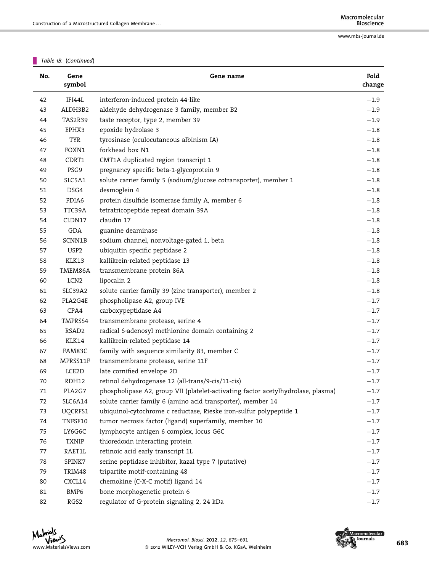Table 1B. (Continued) I.

| Gene<br>No.<br>symbol |                   | Gene name                                                                        | Fold<br>change |  |  |  |  |
|-----------------------|-------------------|----------------------------------------------------------------------------------|----------------|--|--|--|--|
| 42                    | IFI44L            | interferon-induced protein 44-like                                               | $-1.9$         |  |  |  |  |
| 43                    | ALDH3B2           | aldehyde dehydrogenase 3 family, member B2                                       | $-1.9$         |  |  |  |  |
| 44                    | TAS2R39           | taste receptor, type 2, member 39                                                |                |  |  |  |  |
| 45                    | EPHX3             | epoxide hydrolase 3                                                              |                |  |  |  |  |
| 46                    | TYR               | tyrosinase (oculocutaneous albinism IA)                                          | $-1.8$         |  |  |  |  |
| 47                    | FOXN1             | forkhead box N1                                                                  | $-1.8$         |  |  |  |  |
| 48                    | CDRT1             | CMT1A duplicated region transcript 1                                             | $-1.8$         |  |  |  |  |
| 49                    | PSG9              | pregnancy specific beta-1-glycoprotein 9                                         | $-1.8$         |  |  |  |  |
| 50                    | SLC5A1            | solute carrier family 5 (sodium/glucose cotransporter), member 1                 | $-1.8$         |  |  |  |  |
| 51                    | DSG4              | desmoglein 4                                                                     | $-1.8$         |  |  |  |  |
| 52                    | PDIA6             | protein disulfide isomerase family A, member 6                                   | $-1.8$         |  |  |  |  |
| 53                    | TTC39A            | tetratricopeptide repeat domain 39A                                              | $-1.8$         |  |  |  |  |
| 54                    | CLDN17            | claudin 17                                                                       | $-1.8$         |  |  |  |  |
| 55                    | GDA               | guanine deaminase                                                                | $-1.8$         |  |  |  |  |
| 56                    | SCNN1B            | sodium channel, nonvoltage-gated 1, beta                                         | $-1.8$         |  |  |  |  |
| 57                    | USP <sub>2</sub>  | ubiquitin specific peptidase 2                                                   | $-1.8$         |  |  |  |  |
| 58                    | KLK13             | kallikrein-related peptidase 13                                                  | $-1.8$         |  |  |  |  |
| 59                    | TMEM86A           | transmembrane protein 86A                                                        | $-1.8$         |  |  |  |  |
| 60                    | LCN <sub>2</sub>  | lipocalin 2                                                                      | $-1.8$         |  |  |  |  |
| 61                    | SLC39A2           | solute carrier family 39 (zinc transporter), member 2                            | $-1.8$         |  |  |  |  |
| 62                    | PLA2G4E           | phospholipase A2, group IVE                                                      | $-1.7$         |  |  |  |  |
| 63                    | CPA4              | carboxypeptidase A4                                                              | $-1.7$         |  |  |  |  |
| 64                    | TMPRSS4           | transmembrane protease, serine 4                                                 | $-1.7$         |  |  |  |  |
| 65                    | RSAD <sub>2</sub> | radical S-adenosyl methionine domain containing 2                                |                |  |  |  |  |
| 66                    | KLK14             | kallikrein-related peptidase 14                                                  | $-1.7$         |  |  |  |  |
| 67                    | FAM83C            | family with sequence similarity 83, member C                                     | $-1.7$         |  |  |  |  |
| 68                    | MPRSS11F          | transmembrane protease, serine 11F                                               | $-1.7$         |  |  |  |  |
| 69                    | LCE2D             | late cornified envelope 2D                                                       | $-1.7$         |  |  |  |  |
| 70                    | RDH12             | retinol dehydrogenase 12 (all-trans/9-cis/11-cis)                                | $-1.7$         |  |  |  |  |
| 71                    | PLA2G7            | phospholipase A2, group VII (platelet-activating factor acetylhydrolase, plasma) | $-1.7$         |  |  |  |  |
| 72                    | SLC6A14           | solute carrier family 6 (amino acid transporter), member 14                      | $-1.7$         |  |  |  |  |
| 73                    | UQCRFS1           | ubiquinol-cytochrome c reductase, Rieske iron-sulfur polypeptide 1               | $-1.7$         |  |  |  |  |
| 74                    | TNFSF10           | tumor necrosis factor (ligand) superfamily, member 10                            | $-1.7$         |  |  |  |  |
| 75                    | LY6G6C            | lymphocyte antigen 6 complex, locus G6C                                          | $-1.7$         |  |  |  |  |
| 76                    | <b>TXNIP</b>      | thioredoxin interacting protein                                                  | $-1.7$         |  |  |  |  |
| 77                    | RAET1L            | retinoic acid early transcript 1L                                                | $-1.7$         |  |  |  |  |
| 78                    | SPINK7            | serine peptidase inhibitor, kazal type 7 (putative)                              | $-1.7$         |  |  |  |  |
| 79                    | TRIM48            | tripartite motif-containing 48                                                   | $-1.7$         |  |  |  |  |
| 80                    | CXCL14            | chemokine (C-X-C motif) ligand 14                                                | $-1.7$         |  |  |  |  |
| 81                    | BMP6              | bone morphogenetic protein 6                                                     | $-1.7$         |  |  |  |  |
| 82                    | RGS2              | regulator of G-protein signaling 2, 24 kDa                                       | $-1.7$         |  |  |  |  |



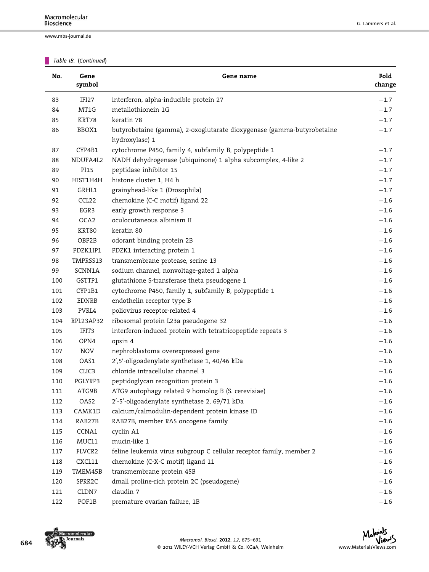Table 1B. (Continued)

| No. | Gene<br>symbol    | Gene name                                                                                |          |  |  |  |
|-----|-------------------|------------------------------------------------------------------------------------------|----------|--|--|--|
| 83  | IFI27             | interferon, alpha-inducible protein 27                                                   | $-1.7$   |  |  |  |
| 84  | MT1G              | metallothionein 1G                                                                       | $-1.7$   |  |  |  |
| 85  | KRT78             | keratin 78                                                                               |          |  |  |  |
| 86  | BBOX1             | butyrobetaine (gamma), 2-oxoglutarate dioxygenase (gamma-butyrobetaine<br>hydroxylase) 1 | $-1.7$   |  |  |  |
| 87  | CYP4B1            | cytochrome P450, family 4, subfamily B, polypeptide 1                                    | $-1.7$   |  |  |  |
| 88  | NDUFA4L2          | NADH dehydrogenase (ubiquinone) 1 alpha subcomplex, 4-like 2                             | $-1.7$   |  |  |  |
| 89  | PI15              | peptidase inhibitor 15                                                                   | $-1.7$   |  |  |  |
| 90  | HIST1H4H          | histone cluster 1, H4 h                                                                  | $-1.7$   |  |  |  |
| 91  | GRHL1             | grainyhead-like 1 (Drosophila)                                                           | $-1.7$   |  |  |  |
| 92  | CCL <sub>22</sub> | chemokine (C-C motif) ligand 22                                                          | $-1.6$   |  |  |  |
| 93  | EGR3              | early growth response 3                                                                  | $-1.6$   |  |  |  |
| 94  | OCA <sub>2</sub>  | oculocutaneous albinism II                                                               | $-1.6$   |  |  |  |
| 95  | KRT80             | keratin 80                                                                               | $-1.6$   |  |  |  |
| 96  | OBP2B             | odorant binding protein 2B                                                               | $-1.6$   |  |  |  |
| 97  | PDZK1IP1          | PDZK1 interacting protein 1                                                              | $-1.6$   |  |  |  |
| 98  | TMPRSS13          | transmembrane protease, serine 13                                                        | $-1.6$   |  |  |  |
| 99  | SCNN1A            | sodium channel, nonvoltage-gated 1 alpha                                                 | $-1.6$   |  |  |  |
| 100 | GSTTP1            | glutathione S-transferase theta pseudogene 1                                             | $-1.6$   |  |  |  |
| 101 | CYP1B1            | cytochrome P450, family 1, subfamily B, polypeptide 1                                    | $-1.6$   |  |  |  |
| 102 | EDNRB             | endothelin receptor type B                                                               | $-1.6$   |  |  |  |
| 103 | PVRL4             | poliovirus receptor-related 4                                                            | $-1.6$   |  |  |  |
| 104 | RPL23AP32         | ribosomal protein L23a pseudogene 32                                                     | $-1.6$   |  |  |  |
| 105 | IFIT3             | interferon-induced protein with tetratricopeptide repeats 3                              | $-1.6$   |  |  |  |
| 106 | OPN4              | opsin 4                                                                                  | $-1.6$   |  |  |  |
| 107 | <b>NOV</b>        | nephroblastoma overexpressed gene                                                        | $-1.6$   |  |  |  |
| 108 | OAS1              | 2',5'-oligoadenylate synthetase 1, 40/46 kDa                                             | $-1.6$   |  |  |  |
| 109 | CLIC <sub>3</sub> | chloride intracellular channel 3                                                         | $-1.6$   |  |  |  |
| 110 | PGLYRP3           | peptidoglycan recognition protein 3                                                      | $-1.6$   |  |  |  |
| 111 | ATG9B             | ATG9 autophagy related 9 homolog B (S. cerevisiae)                                       | $-1.6$   |  |  |  |
| 112 | OAS2              | 2'-5'-oligoadenylate synthetase 2, 69/71 kDa                                             | $-1.6$   |  |  |  |
| 113 | CAMK1D            | calcium/calmodulin-dependent protein kinase ID                                           | $-1.6$   |  |  |  |
| 114 | RAB27B            | RAB27B, member RAS oncogene family                                                       | $-1.6$   |  |  |  |
| 115 | CCNA1             | cyclin A1                                                                                | $-1.6\,$ |  |  |  |
| 116 | MUCL1             | mucin-like 1                                                                             | $-1.6$   |  |  |  |
| 117 | FLVCR2            | feline leukemia virus subgroup C cellular receptor family, member 2                      | $-1.6$   |  |  |  |
| 118 | CXCL11            | chemokine (C-X-C motif) ligand 11                                                        | $-1.6$   |  |  |  |
| 119 | TMEM45B           | transmembrane protein 45B                                                                | $-1.6$   |  |  |  |
| 120 | SPRR2C            | dmall proline-rich protein 2C (pseudogene)                                               | $-1.6\,$ |  |  |  |
| 121 | CLDN7             | claudin 7                                                                                | $-1.6$   |  |  |  |
| 122 | POF1B             | premature ovarian failure, 1B                                                            | $-1.6$   |  |  |  |



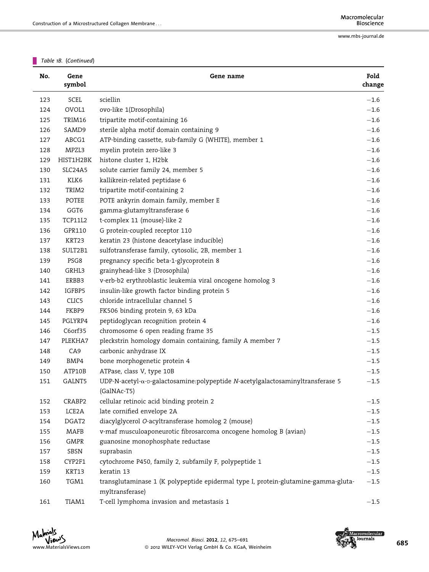Table 1B. (Continued) I.

| Gene<br>No.<br>symbol |                   | Gene name                                                                                             | Fold<br>change |  |  |  |  |
|-----------------------|-------------------|-------------------------------------------------------------------------------------------------------|----------------|--|--|--|--|
| 123                   | SCEL              | sciellin                                                                                              | $-1.6$         |  |  |  |  |
| 124                   | OVOL1             | ovo-like 1(Drosophila)                                                                                | $-1.6$         |  |  |  |  |
| 125                   | TRIM16            | tripartite motif-containing 16<br>$-1.6$                                                              |                |  |  |  |  |
| 126                   | SAMD9             | sterile alpha motif domain containing 9<br>$-1.6$                                                     |                |  |  |  |  |
| 127                   | ABCG1             | ATP-binding cassette, sub-family G (WHITE), member 1<br>$-1.6$                                        |                |  |  |  |  |
| 128                   | MPZL3             | myelin protein zero-like 3<br>$-1.6$                                                                  |                |  |  |  |  |
| 129                   | HIST1H2BK         | histone cluster 1, H2bk                                                                               | $-1.6$         |  |  |  |  |
| 130                   | SLC24A5           | solute carrier family 24, member 5                                                                    | $-1.6$         |  |  |  |  |
| 131                   | KLK6              | kallikrein-related peptidase 6                                                                        | $-1.6$         |  |  |  |  |
| 132                   | TRIM2             | tripartite motif-containing 2                                                                         | $-1.6$         |  |  |  |  |
| 133                   | POTEE             | POTE ankyrin domain family, member E                                                                  | $-1.6$         |  |  |  |  |
| 134                   | GGT6              | gamma-glutamyltransferase 6                                                                           | $-1.6$         |  |  |  |  |
| 135                   | TCP11L2           | t-complex 11 (mouse)-like 2                                                                           | $-1.6$         |  |  |  |  |
| 136                   | GPR110            | G protein-coupled receptor 110                                                                        | $-1.6$         |  |  |  |  |
| 137                   | KRT23             | keratin 23 (histone deacetylase inducible)                                                            | $-1.6$         |  |  |  |  |
| 138                   | SULT2B1           | sulfotransferase family, cytosolic, 2B, member 1                                                      | $-1.6$         |  |  |  |  |
| 139                   | PSG8              | pregnancy specific beta-1-glycoprotein 8                                                              | $-1.6$         |  |  |  |  |
| 140                   | GRHL3             | grainyhead-like 3 (Drosophila)                                                                        | $-1.6$         |  |  |  |  |
| 141                   | ERBB3             | v-erb-b2 erythroblastic leukemia viral oncogene homolog 3<br>$-1.6$                                   |                |  |  |  |  |
| 142                   | IGFBP5            | insulin-like growth factor binding protein 5<br>$-1.6$                                                |                |  |  |  |  |
| 143                   | CLIC <sub>5</sub> | chloride intracellular channel 5                                                                      | $-1.6$         |  |  |  |  |
| 144                   | FKBP9             | FK506 binding protein 9, 63 kDa<br>$-1.6$                                                             |                |  |  |  |  |
| 145                   | PGLYRP4           | peptidoglycan recognition protein 4<br>$-1.6$                                                         |                |  |  |  |  |
| 146                   | C6orf35           | chromosome 6 open reading frame 35<br>$-1.5$                                                          |                |  |  |  |  |
| 147                   | PLEKHA7           | pleckstrin homology domain containing, family A member 7                                              | $-1.5$         |  |  |  |  |
| 148                   | CA <sub>9</sub>   | carbonic anhydrase IX                                                                                 | $-1.5$         |  |  |  |  |
| 149                   | BMP4              | bone morphogenetic protein 4                                                                          | $-1.5$         |  |  |  |  |
| 150                   | ATP10B            | ATPase, class V, type 10B                                                                             | $-1.5$         |  |  |  |  |
| 151                   | GALNT5            | UDP-N-acetyl-a-D-galactosamine:polypeptide N-acetylgalactosaminyltransferase 5<br>(GalNAc-T5)         | $-1.5$         |  |  |  |  |
| 152                   | CRABP2            | cellular retinoic acid binding protein 2                                                              | $-1.5$         |  |  |  |  |
| 153                   | LCE2A             | late cornified envelope 2A                                                                            | $-1.5$         |  |  |  |  |
| 154                   | DGAT2             | diacylglycerol O-acyltransferase homolog 2 (mouse)                                                    | $-1.5$         |  |  |  |  |
| 155                   | MAFB              | v-maf musculoaponeurotic fibrosarcoma oncogene homolog B (avian)                                      | $-1.5$         |  |  |  |  |
| 156                   | <b>GMPR</b>       | guanosine monophosphate reductase                                                                     | $-1.5$         |  |  |  |  |
| 157                   | SBSN              | suprabasin                                                                                            | $-1.5$         |  |  |  |  |
| 158                   | CYP2F1            | cytochrome P450, family 2, subfamily F, polypeptide 1                                                 | $-1.5$         |  |  |  |  |
| 159                   | KRT13             | keratin 13                                                                                            | $-1.5$         |  |  |  |  |
| 160                   | TGM1              | transglutaminase 1 (K polypeptide epidermal type I, protein-glutamine-gamma-gluta-<br>myltransferase) | $-1.5$         |  |  |  |  |
| 161                   | TIAM1             | T-cell lymphoma invasion and metastasis 1                                                             | $-1.5$         |  |  |  |  |



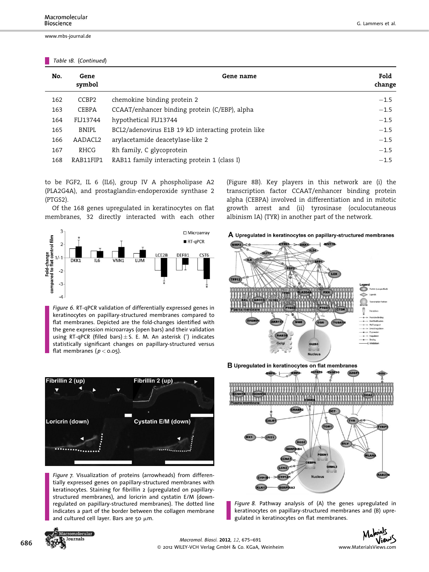Table 1B. (Continued)

| No. | Gene<br>symbol | Gene name                                          | Fold<br>change |
|-----|----------------|----------------------------------------------------|----------------|
| 162 | CCBP2          | chemokine binding protein 2                        | $-1.5$         |
| 163 | <b>CEBPA</b>   | CCAAT/enhancer binding protein (C/EBP), alpha      | $-1.5$         |
| 164 | FLJ13744       | hypothetical FLJ13744                              | $-1.5$         |
| 165 | <b>BNIPL</b>   | BCL2/adenovirus E1B 19 kD interacting protein like | $-1.5$         |
| 166 | AADACL2        | arylacetamide deacetylase-like 2                   | $-1.5$         |
| 167 | RHCG           | Rh family, C glycoprotein                          | $-1.5$         |
| 168 | RAB11FIP1      | RAB11 family interacting protein 1 (class I)       | $-1.5$         |
|     |                |                                                    |                |

to be FGF2, IL 6 (IL6), group IV A phospholipase A2 (PLA2G4A), and prostaglandin-endoperoxide synthase 2 (PTGS2).

Of the 168 genes upregulated in keratinocytes on flat membranes, 32 directly interacted with each other



Figure 6. RT-qPCR validation of differentially expressed genes in keratinocytes on papillary-structured membranes compared to flat membranes. Depicted are the fold-changes identified with the gene expression microarrays (open bars) and their validation using RT-qPCR (filled bars) $\pm$  S. E. M. An asterisk (\*) indicates statistically significant changes on papillary-structured versus flat membranes ( $p <$  0.05).



Figure 7. Visualization of proteins (arrowheads) from differentially expressed genes on papillary-structured membranes with keratinocytes. Staining for fibrillin 2 (upregulated on papillarystructured membranes), and loricrin and cystatin E/M (downregulated on papillary-structured membranes). The dotted line indicates a part of the border between the collagen membrane and cultured cell layer. Bars are 50  $\mu$ m.

(Figure 8B). Key players in this network are (i) the transcription factor CCAAT/enhancer binding protein alpha (CEBPA) involved in differentiation and in mitotic growth arrest and (ii) tyrosinase (oculocutaneous albinism IA) (TYR) in another part of the network.

## A Upregulated in keratinocytes on papillary-structured membranes





Figure 8. Pathway analysis of (A) the genes upregulated in keratinocytes on papillary-structured membranes and (B) upregulated in keratinocytes on flat membranes.



Address Macromol. Biosci. 2012, 12, 675–691<br>
2012 WILEY-VCH Verlag GmbH & Co. KGaA, Weinheim www.MaterialsViews.com @ 2012 WILEY-VCH Verlag GmbH & Co. KGaA, Weinheim

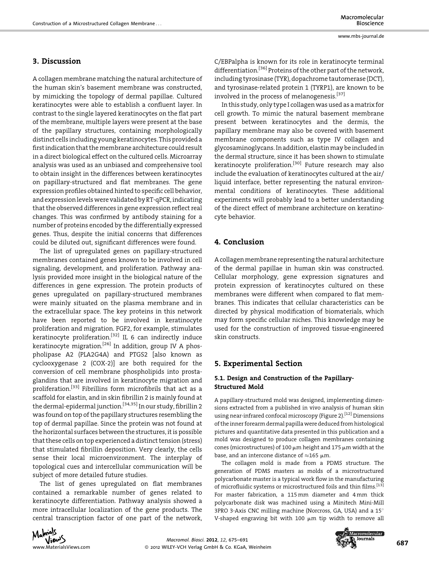# 3. Discussion

A collagen membrane matching the natural architecture of the human skin's basement membrane was constructed, by mimicking the topology of dermal papillae. Cultured keratinocytes were able to establish a confluent layer. In contrast to the single layered keratinocytes on the flat part of the membrane, multiple layers were present at the base of the papillary structures, containing morphologically distinct cells including young keratinocytes. This provided a first indication that the membrane architecture could result in a direct biological effect on the cultured cells. Microarray analysis was used as an unbiased and comprehensive tool to obtain insight in the differences between keratinocytes on papillary-structured and flat membranes. The gene expression profiles obtained hinted to specific cell behavior, and expressionlevelswere validated by RT-qPCR, indicating that the observed differences in gene expression reflect real changes. This was confirmed by antibody staining for a number of proteins encoded by the differentially expressed genes. Thus, despite the initial concerns that differences could be diluted out, significant differences were found.

The list of upregulated genes on papillary-structured membranes contained genes known to be involved in cell signaling, development, and proliferation. Pathway analysis provided more insight in the biological nature of the differences in gene expression. The protein products of genes upregulated on papillary-structured membranes were mainly situated on the plasma membrane and in the extracellular space. The key proteins in this network have been reported to be involved in keratinocyte proliferation and migration. FGF2, for example, stimulates **Represents** respectively induce the ration.<sup>[32]</sup> IL 6 can indirectly induce keratinocyte migration.[26] In addition, group IV A phospholipase A2 (PLA2G4A) and PTGS2 [also known as cyclooxygenase 2 (COX-2)] are both required for the conversion of cell membrane phospholipids into prostaglandins that are involved in keratinocyte migration and proliferation.[33] Fibrillins form microfibrils that act as a scaffold for elastin, and in skin fibrillin 2 is mainly found at the dermal-epidermal junction.<sup>[34,35]</sup> In our study, fibrillin 2 was found on top of the papillary structures resembling the top of dermal papillae. Since the protein was not found at the horizontal surfaces between the structures, it is possible that these cells on top experienced a distinct tension (stress) that stimulated fibrillin deposition. Very clearly, the cells sense their local microenvironment. The interplay of topological cues and intercellular communication will be subject of more detailed future studies.

The list of genes upregulated on flat membranes contained a remarkable number of genes related to keratinocyte differentiation. Pathway analysis showed a more intracellular localization of the gene products. The central transcription factor of one part of the network, C/EBPalpha is known for its role in keratinocyte terminal differentiation.[36] Proteins of the other part of the network, including tyrosinase (TYR), dopachrome tautomerase (DCT), and tyrosinase-related protein 1 (TYRP1), are known to be involved in the process of melanogenesis.<sup>[37]</sup>

In this study, only type I collagen was used as amatrix for cell growth. To mimic the natural basement membrane present between keratinocytes and the dermis, the papillary membrane may also be covered with basement membrane components such as type IV collagen and glycosaminoglycans. In addition, elastinmay be included in the dermal structure, since it has been shown to stimulate keratinocyte proliferation.<sup>[30]</sup> Future research may also include the evaluation of keratinocytes cultured at the air/ liquid interface, better representing the natural environmental conditions of keratinocytes. These additional experiments will probably lead to a better understanding of the direct effect of membrane architecture on keratinocyte behavior.

# 4. Conclusion

A collagen membrane representing the natural architecture of the dermal papillae in human skin was constructed. Cellular morphology, gene expression signatures and protein expression of keratinocytes cultured on these membranes were different when compared to flat membranes. This indicates that cellular characteristics can be directed by physical modification of biomaterials, which may form specific cellular niches. This knowledge may be used for the construction of improved tissue-engineered skin constructs.

# 5. Experimental Section

# 5.1. Design and Construction of the Papillary-Structured Mold

A papillary-structured mold was designed, implementing dimensions extracted from a published in vivo analysis of human skin using near-infrared confocal microscopy (Figure 2).<sup>[12]</sup> Dimensions of the inner forearm dermal papilla were deduced from histological pictures and quantitative data presented in this publication and a mold was designed to produce collagen membranes containing cones (microstructures) of 100  $\mu$ m height and 175  $\mu$ m width at the base, and an intercone distance of  $\approx$ 165  $\mu$ m.

The collagen mold is made from a PDMS structure. The generation of PDMS masters as molds of a microstructured polycarbonate master is a typical work flow in the manufacturing of microfluidic systems or microstructured foils and thin films.<sup>[13]</sup> For master fabrication, a 115 mm diameter and 4 mm thick polycarbonate disk was machined using a Minitech Mini-Mill 3PRO 3-Axis CNC milling machine (Norcross, GA, USA) and a  $15^\circ$ V-shaped engraving bit with 100  $\mu$ m tip width to remove all

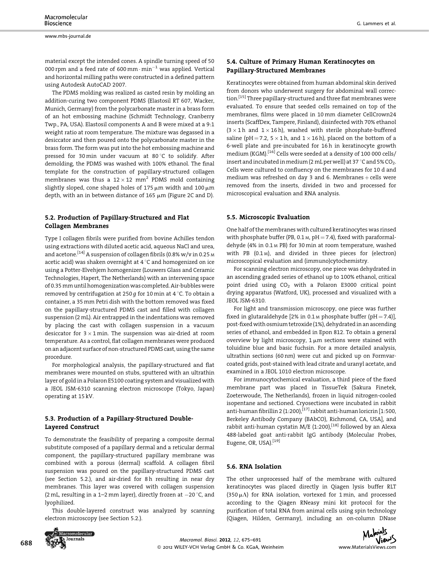material except the intended cones. A spindle turning speed of 50 000 rpm and a feed rate of 600 mm $\cdot$ min $^{-1}$  was applied. Vertical and horizontal milling paths were constructed in a defined pattern using Autodesk AutoCAD 2007.

The PDMS molding was realized as casted resin by molding an addition-curing two component PDMS (Elastosil RT 607, Wacker, Munich, Germany) from the polycarbonate master in a brass form of an hot embossing machine (Schmidt Technology, Cranberry Twp., PA, USA). Elastosil components A and B were mixed at a 9:1 weight ratio at room temperature. The mixture was degassed in a desiccator and then poured onto the polycarbonate master in the brass form. The form was put into the hot embossing machine and pressed for 30 min under vacuum at 80 $\degree$ C to solidify. After demolding, the PDMS was washed with 100% ethanol. The final template for the construction of papillary-structured collagen membranes was thus a  $12 \times 12$  mm<sup>2</sup> PDMS mold containing slightly sloped, cone shaped holes of 175  $\mu$ m width and 100  $\mu$ m depth, with an in between distance of 165  $\mu$ m (Figure 2C and D).

## 5.2. Production of Papillary-Structured and Flat Collagen Membranes

Type I collagen fibrils were purified from bovine Achilles tendon using extractions with diluted acetic acid, aqueous NaCl and urea, and acetone.<sup>[14]</sup> A suspension of collagen fibrils (0.8% w/v in 0.25 M acetic acid) was shaken overnight at  $4^{\circ}$ C and homogenized on ice using a Potter-Elvehjem homogenizer (Louwers Glass and Ceramic Technologies, Hapert, The Netherlands) with an intervening space of 0.35 mm until homogenizationwas completed. Air-bubbleswere removed by centrifugation at 250 g for 10 min at 4 °C. To obtain a container, a 35 mm Petri dish with the bottom removed was fixed on the papillary-structured PDMS cast and filled with collagen suspension (2 mL). Air entrapped in the indentations was removed by placing the cast with collagen suspension in a vacuum desiccator for  $3 \times 1$  min. The suspension was air-dried at room temperature. As a control, flat collagen membranes were produced on an adjacent surface of non-structured PDMS cast, using the same procedure.

For morphological analysis, the papillary-structured and flat membranes were mounted on stubs, sputtered with an ultrathin layer of gold in a Polaron E5100 coating system and visualized with a JEOL JSM-6310 scanning electron microscope (Tokyo, Japan) operating at 15 kV.

## 5.3. Production of a Papillary-Structured Double-Layered Construct

To demonstrate the feasibility of preparing a composite dermal substitute composed of a papillary dermal and a reticular dermal component, the papillary-structured papillary membrane was combined with a porous (dermal) scaffold. A collagen fibril suspension was poured on the papillary-structured PDMS cast (see Section 5.2.), and air-dried for 8h resulting in near dry membranes. This layer was covered with collagen suspension (2 mL, resulting in a 1–2 mm layer), directly frozen at  $-$ 20 °C, and lyophilized.

This double-layered construct was analyzed by scanning electron microscopy (see Section 5.2.).

# 5.4. Culture of Primary Human Keratinocytes on Papillary-Structured Membranes

Keratinocytes were obtained from human abdominal skin derived from donors who underwent surgery for abdominal wall correction.[15] Three papillary-structured and three flat membranes were evaluated. To ensure that seeded cells remained on top of the membranes, films were placed in 10 mm diameter CellCrown24 inserts (ScaffDex, Tampere, Finland), disinfected with 70% ethanol  $(3 \times 1 h$  and  $1 \times 16 h$ ), washed with sterile phosphate-buffered saline (pH = 7.2,  $5 \times 1$  h, and  $1 \times 16$  h), placed on the bottom of a 6-well plate and pre-incubated for 16 h in keratinocyte growth medium (KGM).<sup>[16]</sup> Cells were seeded at a density of 100 000 cells/ insert and incubated in medium (2 mL per well) at 37  $^{\circ}$ C and 5% CO<sub>2</sub>. Cells were cultured to confluency on the membranes for 10 d and medium was refreshed on day 3 and 6. Membranes  $+$  cells were removed from the inserts, divided in two and processed for microscopical evaluation and RNA analysis.

## 5.5. Microscopic Evaluation

One half of the membranes with cultured keratinocytes was rinsed with phosphate buffer (PB, 0.1  $M$ , pH = 7.4), fixed with paraformaldehyde (4% in 0.1 <sup>M</sup> PB) for 30 min at room temperature, washed with PB  $(0.1 \text{ M})$ , and divided in three pieces for (electron) microscopical evaluation and (immuno)cytochemistry.

For scanning electron microscopy, one piece was dehydrated in an ascending graded series of ethanol up to 100% ethanol, critical point dried using  $CO<sub>2</sub>$  with a Polaron E3000 critical point drying apparatus (Watford, UK), processed and visualized with a JEOL JSM-6310.

For light and transmission microscopy, one piece was further fixed in glutaraldehyde [2% in 0.1 M phosphate buffer (pH = 7.4)], post-fixed with osmium tetroxide (1%), dehydrated in an ascending series of ethanol, and embedded in Epon 812. To obtain a general overview by light microscopy,  $1 \mu m$  sections were stained with toluidine blue and basic fuchsin. For a more detailed analysis, ultrathin sections (60 nm) were cut and picked up on Formvarcoated grids, post-stained with lead citrate and uranyl acetate, and examined in a JEOL 1010 electron microscope.

For immunocytochemical evaluation, a third piece of the fixed membrane part was placed in TissueTek (Sakura Finetek, Zoeterwoude, The Netherlands), frozen in liquid nitrogen-cooled isopentane and sectioned. Cryosections were incubated in rabbit anti-human fibrillin 2 (1:200),  $^{[17]}$ rabbit anti-human loricrin [1:500, Berkeley Antibody Company (BAbCO), Richmond, CA, USA], and rabbit anti-human cystatin M/E (1:200),<sup>[18]</sup> followed by an Alexa 488-labeled goat anti-rabbit IgG antibody (Molecular Probes, Eugene, OR, USA).<sup>[19]</sup>

#### 5.6. RNA Isolation

The other unprocessed half of the membrane with cultured keratinocytes was placed directly in Qiagen lysis buffer RLT (350 $\mu$ A) for RNA isolation, vortexed for 1 min, and processed according to the Qiagen RNeasy mini kit protocol for the purification of total RNA from animal cells using spin technology (Qiagen, Hilden, Germany), including an on-column DNase



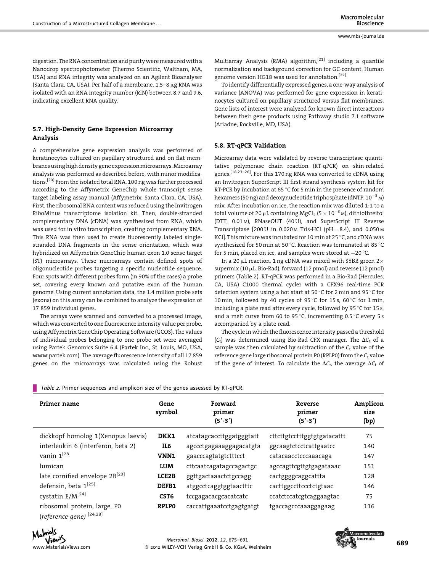digestion. The RNA concentration and purity were measured with a Nanodrop spectrophotometer (Thermo Scientific, Waltham, MA, USA) and RNA integrity was analyzed on an Agilent Bioanalyser (Santa Clara, CA, USA). Per half of a membrane, 1.5-8 µg RNA was isolated with an RNA integrity number (RIN) between 8.7 and 9.6, indicating excellent RNA quality.

# 5.7. High-Density Gene Expression Microarray Analysis

A comprehensive gene expression analysis was performed of keratinocytes cultured on papillary-structured and on flat membranes using high density gene expressionmicroarrays.Microarray analysis was performed as described before, with minor modifications.[20] From the isolated total RNA, 100 ng was further processed according to the Affymetrix GeneChip whole transcript sense target labeling assay manual (Affymetrix, Santa Clara, CA, USA). First, the ribosomal RNA content was reduced using the Invitrogen RiboMinus transcriptome isolation kit. Then, double-stranded complementary DNA (cDNA) was synthesized from RNA, which was used for in vitro transcription, creating complementary RNA. This RNA was then used to create fluorescently labeled singlestranded DNA fragments in the sense orientation, which was hybridized on Affymetrix GeneChip human exon 1.0 sense target (ST) microarrays. These microarrays contain defined spots of oligonucleotide probes targeting a specific nucleotide sequence. Four spots with different probes form (in 90% of the cases) a probe set, covering every known and putative exon of the human genome. Using current annotation data, the 1.4 million probe sets (exons) on this array can be combined to analyze the expression of 17 859 individual genes.

The arrays were scanned and converted to a processed image, which was converted to one fluorescence intensity value per probe, using Affymetrix GeneChip Operating Software (GCOS). The values of individual probes belonging to one probe set were averaged using Partek Genomics Suite 6.4 (Partek Inc., St. Louis, MO, USA, www.partek.com). The average fluorescence intensity of all 17 859 genes on the microarrays was calculated using the Robust Multiarray Analysis (RMA) algorithm, $[21]$  including a quantile normalization and background correction for GC-content. Human genome version HG18 was used for annotation.<sup>[22]</sup>

To identify differentially expressed genes, a one-way analysis of variance (ANOVA) was performed for gene expression in keratinocytes cultured on papillary-structured versus flat membranes. Gene lists of interest were analyzed for known direct interactions between their gene products using Pathway studio 7.1 software (Ariadne, Rockville, MD, USA).

## 5.8. RT-qPCR Validation

Microarray data were validated by reverse transcriptase quantitative polymerase chain reaction (RT-qPCR) on skin-related genes.[18,23–26]. For this 170 ng RNA was converted to cDNA using an Invitrogen SuperScript III first-strand synthesis system kit for RT-PCR by incubation at 65 °C for 5 min in the presence of random hexamers (50 ng) and deoxynucleotide triphosphate (dNTP,  $10^{-3}$  <sub>M</sub>) mix. After incubation on ice, the reaction mix was diluted 1:1 to a total volume of 20  $\mu$ L containing MgCl $_2$  (5  $\times$  10 $^{-3}$  m), dithiothreitol (DTT, 0.01 M), RNaseOUT (40 U), and SuperScript III Reverse Transcriptase  $[200 \text{ U}$  in 0.020 M Tris-HCl (pH = 8.4), and 0.050 M KCl]. This mixture was incubated for 10 min at 25  $\degree$ C, and cDNA was synthesized for 50 min at 50 °C. Reaction was terminated at 85 °C for 5 min, placed on ice, and samples were stored at  $-$ 20  $^{\circ}$ C.

In a 20  $\mu$ L reaction, 1 ng cDNA was mixed with SYBR green 2 $\times$ supermix (10 µL, Bio-Rad), forward (12 pmol) and reverse (12 pmol) primers (Table 2). RT-qPCR was performed in a Bio-Rad (Hercules, CA, USA) C1000 thermal cycler with a CFX96 real-time PCR detection system using a hot start at 50 °C for 2 min and 95 °C for 10 min, followed by 40 cycles of 95 °C for 15 s, 60 °C for 1 min, including a plate read after every cycle, followed by 95  $\degree$ C for 15 s, and a melt curve from 60 to 95 $^{\circ}$ C, incrementing 0.5 $^{\circ}$ C every 5 s accompanied by a plate read.

The cycle in which the fluorescence intensity passed a threshold  $(C_t)$  was determined using Bio-Rad CFX manager. The  $\Delta C_t$  of a sample was then calculated by subtraction of the  $C_t$  value of the reference gene large ribosomal protein P0 (RPLP0) from the  $C_t$  value of the gene of interest. To calculate the  $\Delta C_t$ , the average  $\Delta C_t$  of

Table 2. Primer sequences and amplicon size of the genes assessed by RT-qPCR.

| Primer name                                              | Gene<br>symbol   | Forward<br>primer<br>$(5'-3')$ | Reverse<br>primer<br>$(5'-3')$ | Amplicon<br>size<br>(bp) |
|----------------------------------------------------------|------------------|--------------------------------|--------------------------------|--------------------------|
| dickkopf homolog 1(Xenopus laevis)                       | DKK1             | atcatagcaccttggatgggtatt       | cttcttgtcctttggtgtgatacattt    | 75                       |
| interleukin 6 (interferon, beta 2)                       | IL6              | agccctgagaaaggagacatgta        | ggcaagtctcctcattgaatcc         | 140                      |
| vanin 1[28]                                              | VNN1             | gaacccagtatgtctttcct           | catacaacctcccaaacaga           | 147                      |
| lumican                                                  | <b>LUM</b>       | cttcaatcagatagccagactgc        | agccagttcgttgtgagataaac        | 151                      |
| late cornified envelope 2B <sup>[23]</sup>               | <b>LCE2B</b>     | ggttgactaaactctgccagg          | cactggggcaggcattta             | 128                      |
| defensin, beta 1 <sup>[25]</sup>                         | DEFB1            | atggcctcaggtggtaactttc         | cacttggccttccctctgtaac         | 146                      |
| cystatin E/M <sup>[24]</sup>                             | CST <sub>6</sub> | tccgagacacgcacatcatc           | ccatctccatcgtcaggaagtac        | 75                       |
| ribosomal protein, large, P0<br>(reference gene) [24,28] | <b>RPLPO</b>     | caccattgaaatcctgagtgatgt       | tgaccagcccaaaggagaag           | 116                      |





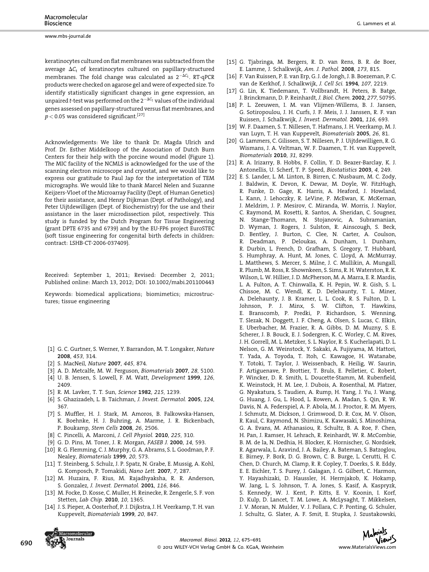keratinocytes cultured on flat membranes was subtracted from the average  $\Delta C_t$  of keratinocytes cultured on papillary-structured membranes. The fold change was calculated as 2 $^{-\Delta C_{\text{t}}}$ . RT-qPCR products were checked on agarose gel and were of expected size. To identify statistically significant changes in gene expression, an unpaired  $t$ -test was performed on the 2 $^{-\Delta \mathcal{C}_{\text{t}}}$  values of the individual genes assessed on papillary-structured versus flat membranes, and  $p < 0.05$  was considered significant.<sup>[27]</sup>

Acknowledgements: We like to thank Dr. Magda Ulrich and Prof. Dr. Esther Middelkoop of the Association of Dutch Burn Centers for their help with the porcine wound model (Figure 1). The MIC facility of the NCMLS is acknowledged for the use of the scanning electron microscope and cryostat, and we would like to express our gratitude to Paul Jap for the interpretation of TEM micrographs. We would like to thank Marcel Nelen and Suzanne Keijzers-Vloet of the Microarray Facility (Dept. of Human Genetics) for their assistance, and Henry Dijkman (Dept. of Pathology), and Peter Uijtdewilligen (Dept. of Biochemistry) for the use and their assistance in the laser microdissection pilot, respectively. This study is funded by the Dutch Program for Tissue Engineering (grant DPTE 6735 and 6739) and by the EU-FP6 project EuroSTEC (soft tissue engineering for congenital birth defects in children: contract: LSHB-CT-2006-037409).

Received: September 1, 2011; Revised: December 2, 2011; Published online: March 13, 2012; DOI: 10.1002/mabi.201100443

Keywords: biomedical applications; biomimetics; microstructures; tissue engineering

- [1] G. C. Gurtner, S. Werner, Y. Barrandon, M. T. Longaker, Nature 2008, 453, 314.
- [2] S. MacNeil, Nature 2007, 445, 874.
- [3] A. D. Metcalfe, M. W. Ferguson, Biomaterials 2007, 28, 5100.
- [4] U. B. Jensen, S. Lowell, F. M. Watt, Development 1999, 126, 2409.
- [5] R. M. Lavker, T. T. Sun, Science 1982, 215, 1239.
- [6] S. Ghazizadeh, L. B. Taichman, J. Invest. Dermatol. 2005, 124, 367.
- [7] S. Muffler, H. J. Stark, M. Amoros, B. Falkowska-Hansen, K. Boehnke, H. J. Buhring, A. Marme, J. R. Bickenbach, P. Boukamp, Stem Cells 2008, 26, 2506.
- [8] C. Pincelli, A. Marconi, J. Cell Physiol. 2010, 225, 310.
- [9] G. D. Pins, M. Toner, J. R. Morgan, FASEB J. 2000, 14, 593.
- [10] R. G. Flemming, C. J. Murphy, G. A. Abrams, S. L. Goodman, P. F. Nealey, Biomaterials 1999, 20, 573.
- [11] T. Steinberg, S. Schulz, J. P. Spatz, N. Grabe, E. Mussig, A. Kohl, G. Komposch, P. Tomakidi, Nano Lett. 2007, 7, 287.
- [12] M. Huzaira, F. Rius, M. Rajadhyaksha, R. R. Anderson, S. Gonzalez, J. Invest. Dermatol. 2001, 116, 846.
- [13] M. Focke, D. Kosse, C. Muller, H. Reinecke, R. Zengerle, S. F. von Stetten, Lab Chip. 2010, 10, 1365.
- [14] J. S. Pieper, A. Oosterhof, P. J. Dijkstra, J. H. Veerkamp, T. H. van Kuppevelt, Biomaterials 1999, 20, 847.
- [15] G. Tjabringa, M. Bergers, R. D. van Rens, B. R. de Boer, E. Lamme, J. Schalkwijk, Am. J. Pathol. 2008, 173, 815.
- [16] F. Van Ruissen, P. E. van Erp, G. J. de Jongh, J. B. Boezeman, P. C. van de Kerkhof, J. Schalkwijk, J. Cell Sci. 1994, 107, 2219.
- [17] G. Lin, K. Tiedemann, T. Vollbrandt, H. Peters, B. Batge, J. Brinckmann, D. P. Reinhardt, J. Biol. Chem. 2002, 277, 50795.
- [18] P. L. Zeeuwen, I. M. van Vlijmen-Willems, B. J. Jansen, G. Sotiropoulou, J. H. Curfs, J. F. Meis, J. J. Janssen, R. F. van Ruissen, J. Schalkwijk, J. Invest. Dermatol. 2001, 116, 693.
- [19] W. F. Daamen, S. T. Nillesen, T. Hafmans, J. H. Veerkamp, M. J. van Luyn, T. H. van Kuppevelt, Biomaterials 2005, 26, 81.
- [20] G. Lammers, C. Gilissen, S. T. Nillesen, P. J. Uijtdewilligen, R. G. Wismans, J. A. Veltman, W. F. Daamen, T. H. van Kuppevelt, Biomaterials 2010, 31, 8299.
- [21] R. A. Irizarry, B. Hobbs, F. Collin, Y. D. Beazer-Barclay, K. J. Antonellis, U. Scherf, T. P. Speed, Biostatistics 2003, 4, 249.
- [22] E. S. Lander, L. M. Linton, B. Birren, C. Nusbaum, M. C. Zody, J. Baldwin, K. Devon, K. Dewar, M. Doyle, W. FitzHugh, R. Funke, D. Gage, K. Harris, A. Heaford, J. Howland, L. Kann, J. Lehoczky, R. LeVine, P. McEwan, K. McKernan, J. Meldrim, J. P. Mesirov, C. Miranda, W. Morris, J. Naylor, C. Raymond, M. Rosetti, R. Santos, A. Sheridan, C. Sougnez, N. Stange-Thomann, N. Stojanovic, A. Subramanian, D. Wyman, J. Rogers, J. Sulston, R. Ainscough, S. Beck, D. Bentley, J. Burton, C. Clee, N. Carter, A. Coulson, R. Deadman, P. Deloukas, A. Dunham, I. Dunham, R. Durbin, L. French, D. Grafham, S. Gregory, T. Hubbard, S. Humphray, A. Hunt, M. Jones, C. Lloyd, A. McMurray, L. Matthews, S. Mercer, S. Milne, J. C. Mullikin, A. Mungall, R. Plumb, M. Ross, R. Shownkeen, S. Sims, R. H. Waterston, R. K. Wilson, L. W. Hillier, J. D. McPherson, M. A. Marra, E. R. Mardis, L. A. Fulton, A. T. Chinwalla, K. H. Pepin, W. R. Gish, S. L. Chissoe, M. C. Wendl, K. D. Delehaunty, T. L. Miner, A. Delehaunty, J. B. Kramer, L. L. Cook, R. S. Fulton, D. L. Johnson, P. J. Minx, S. W. Clifton, T. Hawkins, E. Branscomb, P. Predki, P. Richardson, S. Wenning, T. Slezak, N. Doggett, J. F. Cheng, A. Olsen, S. Lucas, C. Elkin, E. Uberbacher, M. Frazier, R. A. Gibbs, D. M. Muzny, S. E. Scherer, J. B. Bouck, E. J. Sodergren, K. C. Worley, C. M. Rives, J. H. Gorrell, M. L. Metzker, S. L. Naylor, R. S. Kucherlapati, D. L. Nelson, G. M. Weinstock, Y. Sakaki, A. Fujiyama, M. Hattori, T. Yada, A. Toyoda, T. Itoh, C. Kawagoe, H. Watanabe, Y. Totoki, T. Taylor, J. Weissenbach, R. Heilig, W. Saurin, F. Artiguenave, P. Brottier, T. Bruls, E. Pelletier, C. Robert, P. Wincker, D. R. Smith, L. Doucette-Stamm, M. Rubenfield, K. Weinstock, H. M. Lee, J. Dubois, A. Rosenthal, M. Platzer, G. Nyakatura, S. Taudien, A. Rump, H. Yang, J. Yu, J. Wang, G. Huang, J. Gu, L. Hood, L. Rowen, A. Madan, S. Qin, R. W. Davis, N. A. Federspiel, A. P. Abola, M. J. Proctor, R. M. Myers, J. Schmutz, M. Dickson, J. Grimwood, D. R. Cox, M. V. Olson, R. Kaul, C. Raymond, N. Shimizu, K. Kawasaki, S. Minoshima, G. A. Evans, M. Athanasiou, R. Schultz, B. A. Roe, F. Chen, H. Pan, J. Ramser, H. Lehrach, R. Reinhardt, W. R. McCombie, B. M. de la, N. Dedhia, H. Blocker, K. Hornischer, G. Nordsiek, R. Agarwala, L. Aravind, J. A. Bailey, A. Bateman, S. Batzoglou, E. Birney, P. Bork, D. G. Brown, C. B. Burge, L. Cerutti, H. C. Chen, D. Church, M. Clamp, R. R. Copley, T. Doerks, S. R. Eddy, E. E. Eichler, T. S. Furey, J. Galagan, J. G. Gilbert, C. Harmon, Y. Hayashizaki, D. Haussler, H. Hermjakob, K. Hokamp, W. Jang, L. S. Johnson, T. A. Jones, S. Kasif, A. Kaspryzk, S. Kennedy, W. J. Kent, P. Kitts, E. V. Koonin, I. Korf, D. Kulp, D. Lancet, T. M. Lowe, A. McLysaght, T. Mikkelsen, J. V. Moran, N. Mulder, V. J. Pollara, C. P. Ponting, G. Schuler, J. Schultz, G. Slater, A. F. Smit, E. Stupka, J. Szustakowski,